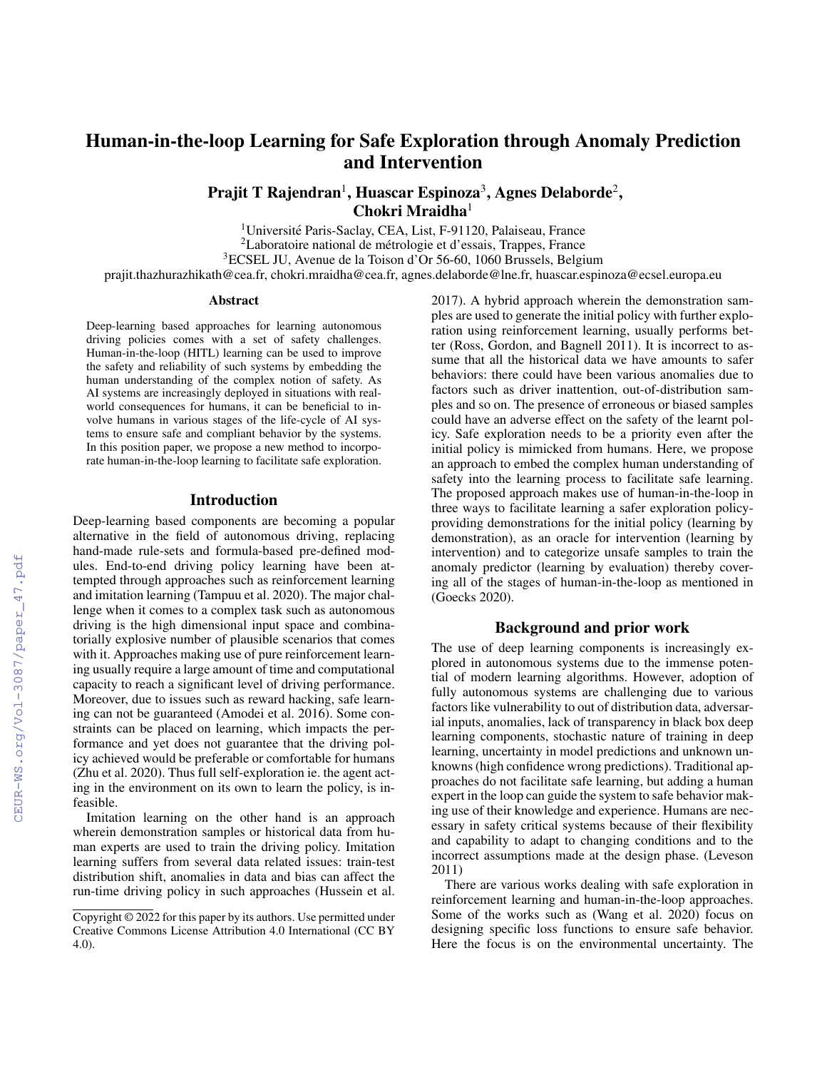# Human-in-the-loop Learning for Safe Exploration through Anomaly Prediction and Intervention

Prajit T Rajendran $^1$ , Huascar Espinoza $^3$ , Agnes Delaborde $^2$ ,  $Chokri Mraidha<sup>1</sup>$ 

<sup>1</sup>Université Paris-Saclay, CEA, List, F-91120, Palaiseau, France <sup>2</sup>Laboratoire national de metrologie et d'essais, Trappes, France ´ <sup>3</sup>ECSEL JU, Avenue de la Toison d'Or 56-60, 1060 Brussels, Belgium

prajit.thazhurazhikath@cea.fr, chokri.mraidha@cea.fr, agnes.delaborde@lne.fr, huascar.espinoza@ecsel.europa.eu

#### Abstract

Deep-learning based approaches for learning autonomous driving policies comes with a set of safety challenges. Human-in-the-loop (HITL) learning can be used to improve the safety and reliability of such systems by embedding the human understanding of the complex notion of safety. As AI systems are increasingly deployed in situations with realworld consequences for humans, it can be beneficial to involve humans in various stages of the life-cycle of AI systems to ensure safe and compliant behavior by the systems. In this position paper, we propose a new method to incorporate human-in-the-loop learning to facilitate safe exploration.

#### Introduction

Deep-learning based components are becoming a popular alternative in the field of autonomous driving, replacing hand-made rule-sets and formula-based pre-defined modules. End-to-end driving policy learning have been attempted through approaches such as reinforcement learning and imitation learning (Tampuu et al. 2020). The major challenge when it comes to a complex task such as autonomous driving is the high dimensional input space and combinatorially explosive number of plausible scenarios that comes with it. Approaches making use of pure reinforcement learning usually require a large amount of time and computational capacity to reach a significant level of driving performance. Moreover, due to issues such as reward hacking, safe learning can not be guaranteed (Amodei et al. 2016). Some constraints can be placed on learning, which impacts the performance and yet does not guarantee that the driving policy achieved would be preferable or comfortable for humans (Zhu et al. 2020). Thus full self-exploration ie. the agent acting in the environment on its own to learn the policy, is infeasible.

Imitation learning on the other hand is an approach wherein demonstration samples or historical data from human experts are used to train the driving policy. Imitation learning suffers from several data related issues: train-test distribution shift, anomalies in data and bias can affect the run-time driving policy in such approaches (Hussein et al.

2017). A hybrid approach wherein the demonstration samples are used to generate the initial policy with further exploration using reinforcement learning, usually performs better (Ross, Gordon, and Bagnell 2011). It is incorrect to assume that all the historical data we have amounts to safer behaviors: there could have been various anomalies due to factors such as driver inattention, out-of-distribution samples and so on. The presence of erroneous or biased samples could have an adverse effect on the safety of the learnt policy. Safe exploration needs to be a priority even after the initial policy is mimicked from humans. Here, we propose an approach to embed the complex human understanding of safety into the learning process to facilitate safe learning. The proposed approach makes use of human-in-the-loop in three ways to facilitate learning a safer exploration policyproviding demonstrations for the initial policy (learning by demonstration), as an oracle for intervention (learning by intervention) and to categorize unsafe samples to train the anomaly predictor (learning by evaluation) thereby covering all of the stages of human-in-the-loop as mentioned in (Goecks 2020).

## Background and prior work

The use of deep learning components is increasingly explored in autonomous systems due to the immense potential of modern learning algorithms. However, adoption of fully autonomous systems are challenging due to various factors like vulnerability to out of distribution data, adversarial inputs, anomalies, lack of transparency in black box deep learning components, stochastic nature of training in deep learning, uncertainty in model predictions and unknown unknowns (high confidence wrong predictions). Traditional approaches do not facilitate safe learning, but adding a human expert in the loop can guide the system to safe behavior making use of their knowledge and experience. Humans are necessary in safety critical systems because of their flexibility and capability to adapt to changing conditions and to the incorrect assumptions made at the design phase. (Leveson 2011)

There are various works dealing with safe exploration in reinforcement learning and human-in-the-loop approaches. Some of the works such as (Wang et al. 2020) focus on designing specific loss functions to ensure safe behavior. Here the focus is on the environmental uncertainty. The

Copyright © 2022 for this paper by its authors. Use permitted under Creative Commons License Attribution 4.0 International (CC BY 4.0).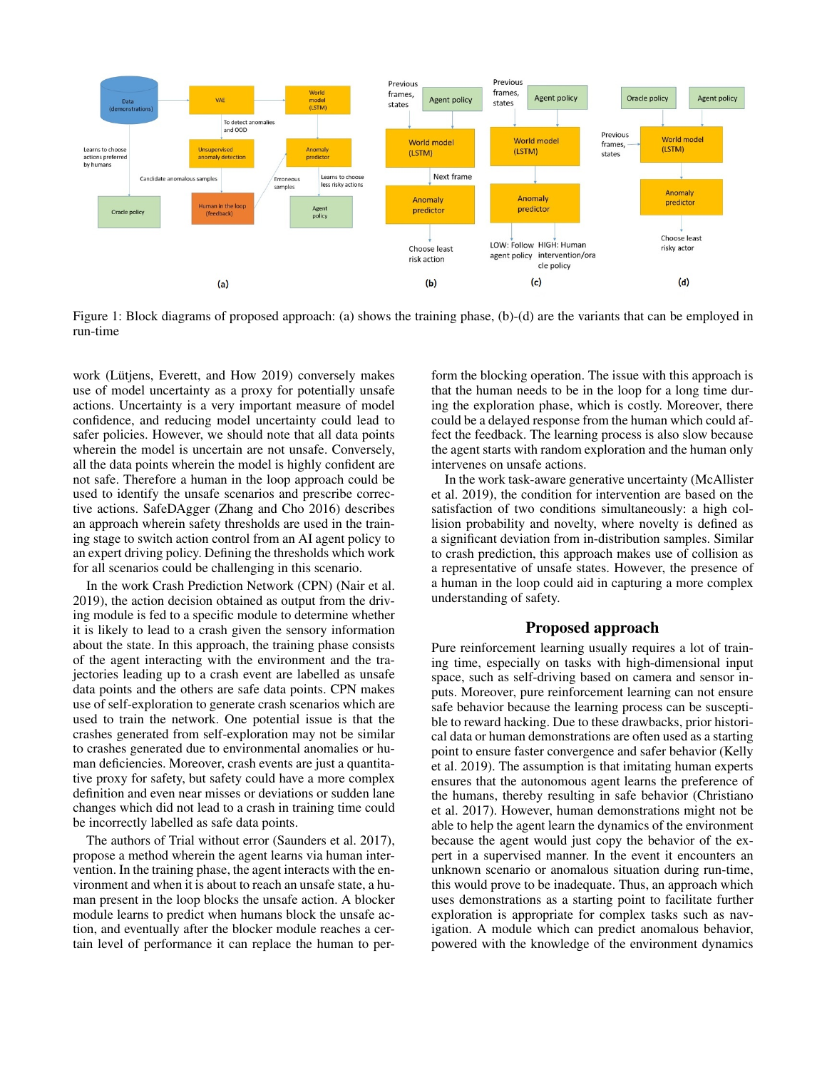

Figure 1: Block diagrams of proposed approach: (a) shows the training phase, (b)-(d) are the variants that can be employed in run-time

work (Lütjens, Everett, and How 2019) conversely makes use of model uncertainty as a proxy for potentially unsafe actions. Uncertainty is a very important measure of model confidence, and reducing model uncertainty could lead to safer policies. However, we should note that all data points wherein the model is uncertain are not unsafe. Conversely, all the data points wherein the model is highly confident are not safe. Therefore a human in the loop approach could be used to identify the unsafe scenarios and prescribe corrective actions. SafeDAgger (Zhang and Cho 2016) describes an approach wherein safety thresholds are used in the training stage to switch action control from an AI agent policy to an expert driving policy. Defining the thresholds which work for all scenarios could be challenging in this scenario.

In the work Crash Prediction Network (CPN) (Nair et al. 2019), the action decision obtained as output from the driving module is fed to a specific module to determine whether it is likely to lead to a crash given the sensory information about the state. In this approach, the training phase consists of the agent interacting with the environment and the trajectories leading up to a crash event are labelled as unsafe data points and the others are safe data points. CPN makes use of self-exploration to generate crash scenarios which are used to train the network. One potential issue is that the crashes generated from self-exploration may not be similar to crashes generated due to environmental anomalies or human deficiencies. Moreover, crash events are just a quantitative proxy for safety, but safety could have a more complex definition and even near misses or deviations or sudden lane changes which did not lead to a crash in training time could be incorrectly labelled as safe data points.

The authors of Trial without error (Saunders et al. 2017), propose a method wherein the agent learns via human intervention. In the training phase, the agent interacts with the environment and when it is about to reach an unsafe state, a human present in the loop blocks the unsafe action. A blocker module learns to predict when humans block the unsafe action, and eventually after the blocker module reaches a certain level of performance it can replace the human to perform the blocking operation. The issue with this approach is that the human needs to be in the loop for a long time during the exploration phase, which is costly. Moreover, there could be a delayed response from the human which could affect the feedback. The learning process is also slow because the agent starts with random exploration and the human only intervenes on unsafe actions.

In the work task-aware generative uncertainty (McAllister et al. 2019), the condition for intervention are based on the satisfaction of two conditions simultaneously: a high collision probability and novelty, where novelty is defined as a significant deviation from in-distribution samples. Similar to crash prediction, this approach makes use of collision as a representative of unsafe states. However, the presence of a human in the loop could aid in capturing a more complex understanding of safety.

## Proposed approach

Pure reinforcement learning usually requires a lot of training time, especially on tasks with high-dimensional input space, such as self-driving based on camera and sensor inputs. Moreover, pure reinforcement learning can not ensure safe behavior because the learning process can be susceptible to reward hacking. Due to these drawbacks, prior historical data or human demonstrations are often used as a starting point to ensure faster convergence and safer behavior (Kelly et al. 2019). The assumption is that imitating human experts ensures that the autonomous agent learns the preference of the humans, thereby resulting in safe behavior (Christiano et al. 2017). However, human demonstrations might not be able to help the agent learn the dynamics of the environment because the agent would just copy the behavior of the expert in a supervised manner. In the event it encounters an unknown scenario or anomalous situation during run-time, this would prove to be inadequate. Thus, an approach which uses demonstrations as a starting point to facilitate further exploration is appropriate for complex tasks such as navigation. A module which can predict anomalous behavior, powered with the knowledge of the environment dynamics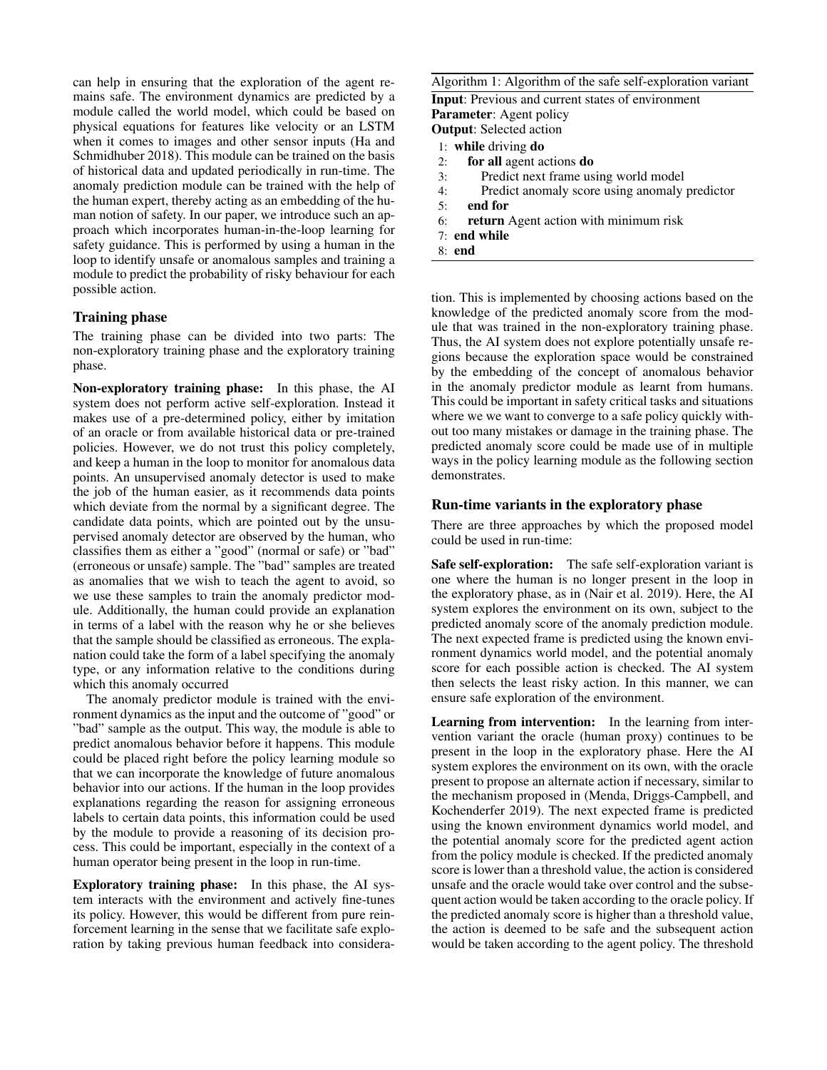can help in ensuring that the exploration of the agent remains safe. The environment dynamics are predicted by a module called the world model, which could be based on physical equations for features like velocity or an LSTM when it comes to images and other sensor inputs (Ha and Schmidhuber 2018). This module can be trained on the basis of historical data and updated periodically in run-time. The anomaly prediction module can be trained with the help of the human expert, thereby acting as an embedding of the human notion of safety. In our paper, we introduce such an approach which incorporates human-in-the-loop learning for safety guidance. This is performed by using a human in the loop to identify unsafe or anomalous samples and training a module to predict the probability of risky behaviour for each possible action.

## Training phase

The training phase can be divided into two parts: The non-exploratory training phase and the exploratory training phase.

Non-exploratory training phase: In this phase, the AI system does not perform active self-exploration. Instead it makes use of a pre-determined policy, either by imitation of an oracle or from available historical data or pre-trained policies. However, we do not trust this policy completely, and keep a human in the loop to monitor for anomalous data points. An unsupervised anomaly detector is used to make the job of the human easier, as it recommends data points which deviate from the normal by a significant degree. The candidate data points, which are pointed out by the unsupervised anomaly detector are observed by the human, who classifies them as either a "good" (normal or safe) or "bad" (erroneous or unsafe) sample. The "bad" samples are treated as anomalies that we wish to teach the agent to avoid, so we use these samples to train the anomaly predictor module. Additionally, the human could provide an explanation in terms of a label with the reason why he or she believes that the sample should be classified as erroneous. The explanation could take the form of a label specifying the anomaly type, or any information relative to the conditions during which this anomaly occurred

The anomaly predictor module is trained with the environment dynamics as the input and the outcome of "good" or "bad" sample as the output. This way, the module is able to predict anomalous behavior before it happens. This module could be placed right before the policy learning module so that we can incorporate the knowledge of future anomalous behavior into our actions. If the human in the loop provides explanations regarding the reason for assigning erroneous labels to certain data points, this information could be used by the module to provide a reasoning of its decision process. This could be important, especially in the context of a human operator being present in the loop in run-time.

Exploratory training phase: In this phase, the AI system interacts with the environment and actively fine-tunes its policy. However, this would be different from pure reinforcement learning in the sense that we facilitate safe exploration by taking previous human feedback into consideraAlgorithm 1: Algorithm of the safe self-exploration variant

Input: Previous and current states of environment Parameter: Agent policy Output: Selected action

- 1: while driving do
- 2: for all agent actions do
- 3: Predict next frame using world model
- 4: Predict anomaly score using anomaly predictor
- 5: end for
- 6: return Agent action with minimum risk
- 7: end while
- 8: end

tion. This is implemented by choosing actions based on the knowledge of the predicted anomaly score from the module that was trained in the non-exploratory training phase. Thus, the AI system does not explore potentially unsafe regions because the exploration space would be constrained by the embedding of the concept of anomalous behavior in the anomaly predictor module as learnt from humans. This could be important in safety critical tasks and situations where we we want to converge to a safe policy quickly without too many mistakes or damage in the training phase. The predicted anomaly score could be made use of in multiple ways in the policy learning module as the following section demonstrates.

## Run-time variants in the exploratory phase

There are three approaches by which the proposed model could be used in run-time:

Safe self-exploration: The safe self-exploration variant is one where the human is no longer present in the loop in the exploratory phase, as in (Nair et al. 2019). Here, the AI system explores the environment on its own, subject to the predicted anomaly score of the anomaly prediction module. The next expected frame is predicted using the known environment dynamics world model, and the potential anomaly score for each possible action is checked. The AI system then selects the least risky action. In this manner, we can ensure safe exploration of the environment.

Learning from intervention: In the learning from intervention variant the oracle (human proxy) continues to be present in the loop in the exploratory phase. Here the AI system explores the environment on its own, with the oracle present to propose an alternate action if necessary, similar to the mechanism proposed in (Menda, Driggs-Campbell, and Kochenderfer 2019). The next expected frame is predicted using the known environment dynamics world model, and the potential anomaly score for the predicted agent action from the policy module is checked. If the predicted anomaly score is lower than a threshold value, the action is considered unsafe and the oracle would take over control and the subsequent action would be taken according to the oracle policy. If the predicted anomaly score is higher than a threshold value, the action is deemed to be safe and the subsequent action would be taken according to the agent policy. The threshold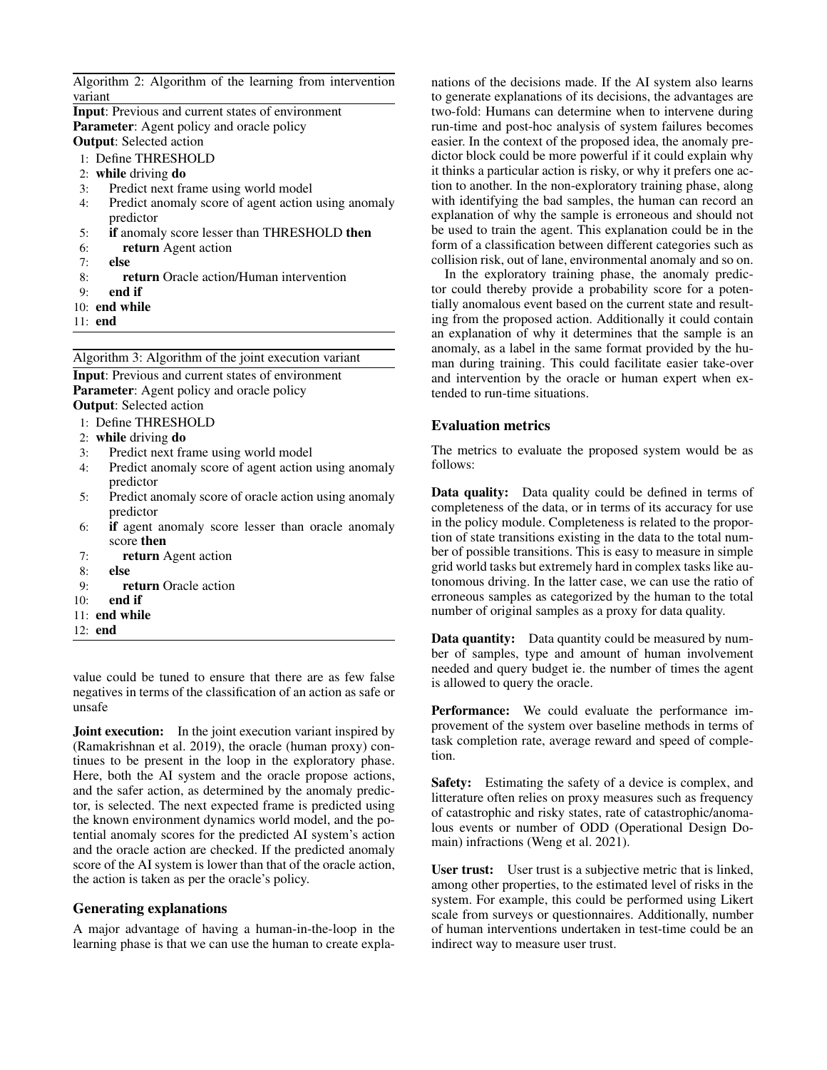| Algorithm 2: Algorithm of the learning from intervention  |
|-----------------------------------------------------------|
| variant                                                   |
| <b>Input:</b> Previous and current states of environment  |
| <b>Parameter:</b> Agent policy and oracle policy          |
| <b>Output:</b> Selected action                            |
| 1: Define THRESHOLD                                       |
| 2: while driving $\bf{d}$                                 |
| Predict next frame using world model<br>3:                |
| Predict anomaly score of agent action using anomaly<br>4: |
| predictor                                                 |
| 5:<br><b>if</b> anomaly score lesser than THRESHOLD then  |
| 6:<br>return Agent action                                 |
| 7:<br>else                                                |
| <b>return</b> Oracle action/Human intervention<br>8:      |
| end if<br>9:                                              |
| $10:$ end while                                           |
| $11:$ end                                                 |

Algorithm 3: Algorithm of the joint execution variant

Input: Previous and current states of environment Parameter: Agent policy and oracle policy Output: Selected action

- 1: Define THRESHOLD
- 2: while driving do
- 3: Predict next frame using world model<br>4: Predict anomaly score of agent action
- Predict anomaly score of agent action using anomaly predictor
- 5: Predict anomaly score of oracle action using anomaly predictor
- 6: if agent anomaly score lesser than oracle anomaly score then
- 7: return Agent action
- 8: else
- 9: return Oracle action
- $10<sup>°</sup>$  end if
- 11: end while
- 12: end

value could be tuned to ensure that there are as few false negatives in terms of the classification of an action as safe or unsafe

**Joint execution:** In the joint execution variant inspired by (Ramakrishnan et al. 2019), the oracle (human proxy) continues to be present in the loop in the exploratory phase. Here, both the AI system and the oracle propose actions, and the safer action, as determined by the anomaly predictor, is selected. The next expected frame is predicted using the known environment dynamics world model, and the potential anomaly scores for the predicted AI system's action and the oracle action are checked. If the predicted anomaly score of the AI system is lower than that of the oracle action, the action is taken as per the oracle's policy.

#### Generating explanations

A major advantage of having a human-in-the-loop in the learning phase is that we can use the human to create expla-

nations of the decisions made. If the AI system also learns to generate explanations of its decisions, the advantages are two-fold: Humans can determine when to intervene during run-time and post-hoc analysis of system failures becomes easier. In the context of the proposed idea, the anomaly predictor block could be more powerful if it could explain why it thinks a particular action is risky, or why it prefers one action to another. In the non-exploratory training phase, along with identifying the bad samples, the human can record an explanation of why the sample is erroneous and should not be used to train the agent. This explanation could be in the form of a classification between different categories such as collision risk, out of lane, environmental anomaly and so on.

In the exploratory training phase, the anomaly predictor could thereby provide a probability score for a potentially anomalous event based on the current state and resulting from the proposed action. Additionally it could contain an explanation of why it determines that the sample is an anomaly, as a label in the same format provided by the human during training. This could facilitate easier take-over and intervention by the oracle or human expert when extended to run-time situations.

#### Evaluation metrics

The metrics to evaluate the proposed system would be as follows:

Data quality: Data quality could be defined in terms of completeness of the data, or in terms of its accuracy for use in the policy module. Completeness is related to the proportion of state transitions existing in the data to the total number of possible transitions. This is easy to measure in simple grid world tasks but extremely hard in complex tasks like autonomous driving. In the latter case, we can use the ratio of erroneous samples as categorized by the human to the total number of original samples as a proxy for data quality.

Data quantity: Data quantity could be measured by number of samples, type and amount of human involvement needed and query budget ie. the number of times the agent is allowed to query the oracle.

Performance: We could evaluate the performance improvement of the system over baseline methods in terms of task completion rate, average reward and speed of completion.

Safety: Estimating the safety of a device is complex, and litterature often relies on proxy measures such as frequency of catastrophic and risky states, rate of catastrophic/anomalous events or number of ODD (Operational Design Domain) infractions (Weng et al. 2021).

User trust: User trust is a subjective metric that is linked, among other properties, to the estimated level of risks in the system. For example, this could be performed using Likert scale from surveys or questionnaires. Additionally, number of human interventions undertaken in test-time could be an indirect way to measure user trust.